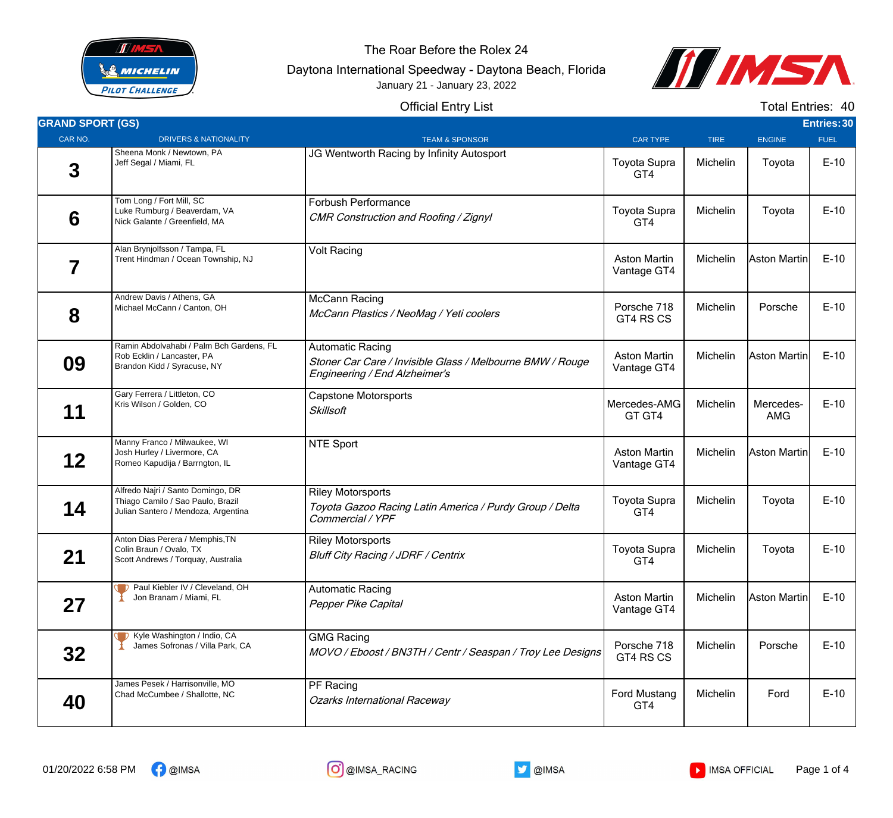

The Roar Before the Rolex 24

Daytona International Speedway - Daytona Beach, Florida January 21 - January 23, 2022



Official Entry List

| $\mathcal{L}^{\text{max}}_{\text{max}}$ and $\mathcal{L}^{\text{max}}_{\text{max}}$ and $\mathcal{L}^{\text{max}}_{\text{max}}$ |  |  |  |
|---------------------------------------------------------------------------------------------------------------------------------|--|--|--|
|                                                                                                                                 |  |  |  |
|                                                                                                                                 |  |  |  |
|                                                                                                                                 |  |  |  |

Total Entries: 40

| <b>GRAND SPORT (GS)</b> |                                                                                                               |                                                                                                                       |                                    |             |                  | Entries: 30 |
|-------------------------|---------------------------------------------------------------------------------------------------------------|-----------------------------------------------------------------------------------------------------------------------|------------------------------------|-------------|------------------|-------------|
| CAR NO.                 | <b>DRIVERS &amp; NATIONALITY</b>                                                                              | <b>TEAM &amp; SPONSOR</b>                                                                                             | <b>CAR TYPE</b>                    | <b>TIRE</b> | <b>ENGINE</b>    | <b>FUEL</b> |
| 3                       | Sheena Monk / Newtown, PA<br>Jeff Segal / Miami, FL                                                           | JG Wentworth Racing by Infinity Autosport                                                                             | <b>Toyota Supra</b><br>GT4         | Michelin    | Toyota           | $E-10$      |
| 6                       | Tom Long / Fort Mill, SC<br>Luke Rumburg / Beaverdam, VA<br>Nick Galante / Greenfield, MA                     | <b>Forbush Performance</b><br>CMR Construction and Roofing / Zignyl                                                   | <b>Toyota Supra</b><br>GT4         | Michelin    | Toyota           | $E-10$      |
| 7                       | Alan Brynjolfsson / Tampa, FL<br>Trent Hindman / Ocean Township, NJ                                           | <b>Volt Racing</b>                                                                                                    | <b>Aston Martin</b><br>Vantage GT4 | Michelin    | Aston Martin     | $E-10$      |
| 8                       | Andrew Davis / Athens, GA<br>Michael McCann / Canton, OH                                                      | <b>McCann Racing</b><br>McCann Plastics / NeoMag / Yeti coolers                                                       | Porsche 718<br>GT4 RS CS           | Michelin    | Porsche          | $E-10$      |
| 09                      | Ramin Abdolvahabi / Palm Bch Gardens, FL<br>Rob Ecklin / Lancaster, PA<br>Brandon Kidd / Syracuse, NY         | <b>Automatic Racing</b><br>Stoner Car Care / Invisible Glass / Melbourne BMW / Rouge<br>Engineering / End Alzheimer's | <b>Aston Martin</b><br>Vantage GT4 | Michelin    | Aston Martin     | $E-10$      |
| 11                      | Gary Ferrera / Littleton, CO<br>Kris Wilson / Golden, CO                                                      | <b>Capstone Motorsports</b><br><b>Skillsoft</b>                                                                       | Mercedes-AMG<br>GT GT4             | Michelin    | Mercedes-<br>AMG | $E-10$      |
| 12                      | Manny Franco / Milwaukee, WI<br>Josh Hurley / Livermore, CA<br>Romeo Kapudija / Barrngton, IL                 | <b>NTE Sport</b>                                                                                                      | <b>Aston Martin</b><br>Vantage GT4 | Michelin    | Aston Martin     | $E-10$      |
| 14                      | Alfredo Najri / Santo Domingo, DR<br>Thiago Camilo / Sao Paulo, Brazil<br>Julian Santero / Mendoza, Argentina | <b>Riley Motorsports</b><br>Toyota Gazoo Racing Latin America / Purdy Group / Delta<br>Commercial / YPF               | <b>Toyota Supra</b><br>GT4         | Michelin    | Toyota           | $E-10$      |
| 21                      | Anton Dias Perera / Memphis, TN<br>Colin Braun / Ovalo, TX<br>Scott Andrews / Torquay, Australia              | <b>Riley Motorsports</b><br><b>Bluff City Racing / JDRF / Centrix</b>                                                 | <b>Toyota Supra</b><br>GT4         | Michelin    | Toyota           | $E-10$      |
| 27                      | Paul Kiebler IV / Cleveland, OH<br>Jon Branam / Miami, FL                                                     | <b>Automatic Racing</b><br>Pepper Pike Capital                                                                        | <b>Aston Martin</b><br>Vantage GT4 | Michelin    | Aston Martin     | $E-10$      |
| 32                      | <b>T</b> Kyle Washington / Indio, CA<br>James Sofronas / Villa Park, CA                                       | <b>GMG Racing</b><br>MOVO / Eboost / BN3TH / Centr / Seaspan / Troy Lee Designs                                       | Porsche 718<br>GT4 RS CS           | Michelin    | Porsche          | $E-10$      |
| 40                      | James Pesek / Harrisonville, MO<br>Chad McCumbee / Shallotte, NC                                              | PF Racing<br><b>Ozarks International Raceway</b>                                                                      | <b>Ford Mustang</b><br>GT4         | Michelin    | Ford             | $E-10$      |





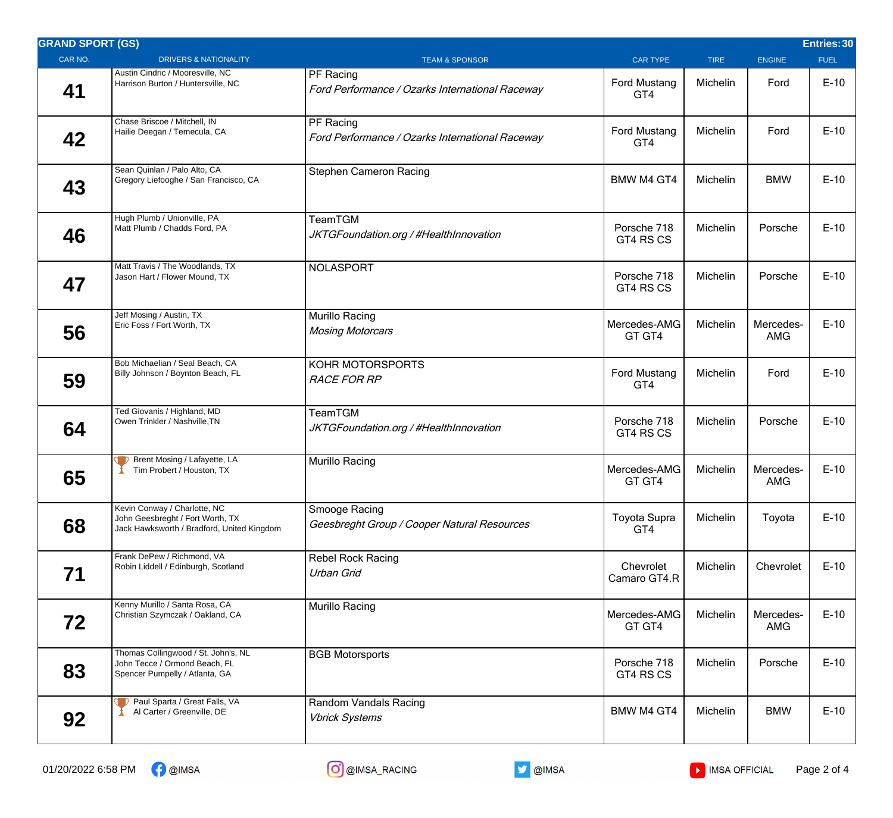| <b>GRAND SPORT (GS)</b>                                                                                        |                                                              |                            |             |                         | Entries: 30 |
|----------------------------------------------------------------------------------------------------------------|--------------------------------------------------------------|----------------------------|-------------|-------------------------|-------------|
| <b>DRIVERS &amp; NATIONALITY</b>                                                                               | <b>TEAM &amp; SPONSOR</b>                                    | <b>CAR TYPE</b>            | <b>TIRE</b> | <b>ENGINE</b>           | <b>FUEL</b> |
| Austin Cindric / Mooresville, NC<br>Harrison Burton / Huntersville, NC                                         | PF Racing<br>Ford Performance / Ozarks International Raceway | <b>Ford Mustang</b><br>GT4 | Michelin    | Ford                    | $E-10$      |
| Hailie Deegan / Temecula, CA                                                                                   | PF Racing<br>Ford Performance / Ozarks International Raceway | <b>Ford Mustang</b><br>GT4 | Michelin    | Ford                    | $E-10$      |
| Sean Quinlan / Palo Alto, CA<br>Gregory Liefooghe / San Francisco, CA                                          | <b>Stephen Cameron Racing</b>                                | <b>BMW M4 GT4</b>          | Michelin    | <b>BMW</b>              | $E-10$      |
| Hugh Plumb / Unionville, PA<br>Matt Plumb / Chadds Ford, PA                                                    | TeamTGM<br>JKTGFoundation.org / #HealthInnovation            | Porsche 718<br>GT4 RS CS   | Michelin    | Porsche                 | $E-10$      |
| Matt Travis / The Woodlands, TX<br>Jason Hart / Flower Mound, TX                                               | <b>NOLASPORT</b>                                             | Porsche 718<br>GT4 RS CS   | Michelin    | Porsche                 | $E-10$      |
| Jeff Mosing / Austin, TX<br>Eric Foss / Fort Worth, TX                                                         | Murillo Racing<br><b>Mosing Motorcars</b>                    | Mercedes-AMG<br>GT GT4     | Michelin    | Mercedes-<br><b>AMG</b> | $E-10$      |
| Bob Michaelian / Seal Beach, CA<br>Billy Johnson / Boynton Beach, FL                                           | KOHR MOTORSPORTS<br><b>RACE FOR RP</b>                       | <b>Ford Mustang</b><br>GT4 | Michelin    | Ford                    | $E-10$      |
| Ted Giovanis / Highland, MD<br>Owen Trinkler / Nashville, TN                                                   | TeamTGM<br>JKTGFoundation.org / #HealthInnovation            | Porsche 718<br>GT4 RS CS   | Michelin    | Porsche                 | $E-10$      |
| Brent Mosing / Lafayette, LA<br>Tim Probert / Houston, TX                                                      | Murillo Racing                                               | Mercedes-AMG<br>GT GT4     | Michelin    | Mercedes-<br><b>AMG</b> | $E-10$      |
| Kevin Conway / Charlotte, NC<br>John Geesbreght / Fort Worth, TX<br>Jack Hawksworth / Bradford, United Kingdom | Smooge Racing<br>Geesbreght Group / Cooper Natural Resources | <b>Toyota Supra</b><br>GT4 | Michelin    | Toyota                  | $E-10$      |
| Frank DePew / Richmond, VA<br>Robin Liddell / Edinburgh, Scotland                                              | <b>Rebel Rock Racing</b><br>Urban Grid                       | Chevrolet<br>Camaro GT4.R  | Michelin    | Chevrolet               | $E-10$      |
| Kenny Murillo / Santa Rosa, CA<br>Christian Szymczak / Oakland, CA                                             | Murillo Racing                                               | Mercedes-AMG<br>GT GT4     | Michelin    | Mercedes-<br>AMG        | $E-10$      |
| Thomas Collingwood / St. John's, NL<br>John Tecce / Ormond Beach, FL<br>Spencer Pumpelly / Atlanta, GA         | <b>BGB Motorsports</b>                                       | Porsche 718<br>GT4 RS CS   | Michelin    | Porsche                 | $E-10$      |
| Paul Sparta / Great Falls, VA<br>Al Carter / Greenville, DE                                                    | Random Vandals Racing<br><b>Vbrick Systems</b>               | <b>BMW M4 GT4</b>          | Michelin    | <b>BMW</b>              | $E-10$      |
|                                                                                                                | Chase Briscoe / Mitchell, IN                                 |                            |             |                         |             |

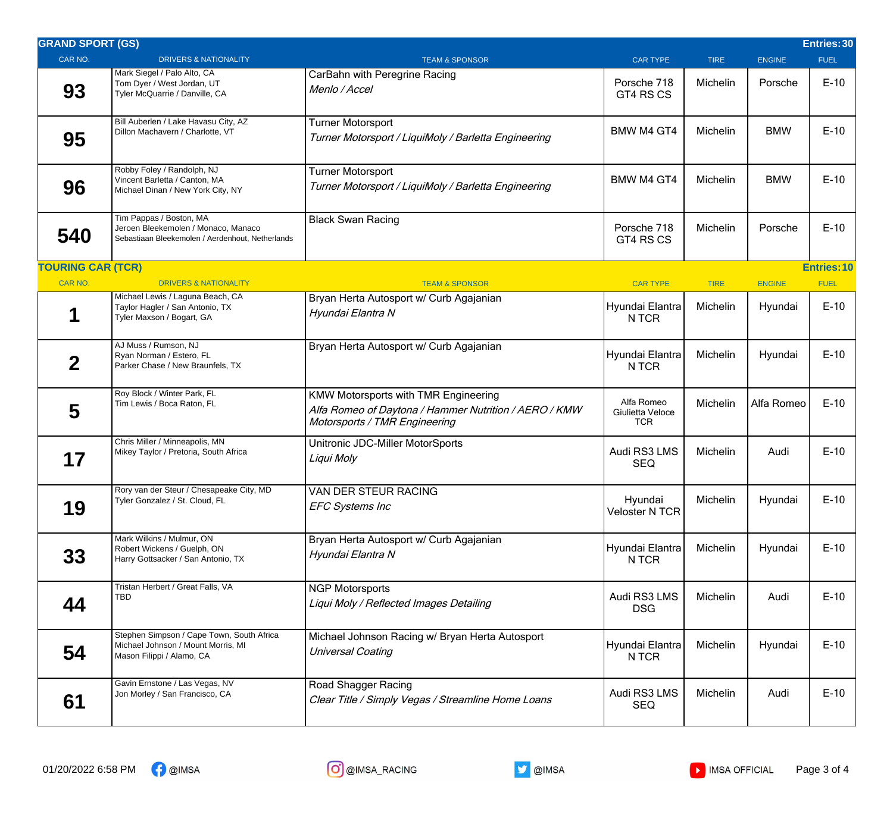| <b>GRAND SPORT (GS)</b>  |                                                                                                                    |                                                                                                                                |                                              |                 |               | Entries: 30        |
|--------------------------|--------------------------------------------------------------------------------------------------------------------|--------------------------------------------------------------------------------------------------------------------------------|----------------------------------------------|-----------------|---------------|--------------------|
| CAR NO.                  | <b>DRIVERS &amp; NATIONALITY</b>                                                                                   | <b>TEAM &amp; SPONSOR</b>                                                                                                      | <b>CAR TYPE</b>                              | <b>TIRE</b>     | <b>ENGINE</b> | <b>FUEL</b>        |
| 93                       | Mark Siegel / Palo Alto, CA<br>Tom Dyer / West Jordan, UT<br>Tyler McQuarrie / Danville, CA                        | CarBahn with Peregrine Racing<br>Menlo / Accel                                                                                 | Porsche 718<br>GT4 RS CS                     | Michelin        | Porsche       | $E-10$             |
| 95                       | Bill Auberlen / Lake Havasu City, AZ<br>Dillon Machavern / Charlotte, VT                                           | <b>Turner Motorsport</b><br>Turner Motorsport / LiquiMoly / Barletta Engineering                                               | <b>BMW M4 GT4</b>                            | Michelin        | <b>BMW</b>    | $E-10$             |
| 96                       | Robby Foley / Randolph, NJ<br>Vincent Barletta / Canton, MA<br>Michael Dinan / New York City, NY                   | Turner Motorsport<br>Turner Motorsport / LiquiMoly / Barletta Engineering                                                      | BMW M4 GT4                                   | <b>Michelin</b> | <b>BMW</b>    | $E-10$             |
| 540                      | Tim Pappas / Boston, MA<br>Jeroen Bleekemolen / Monaco, Manaco<br>Sebastiaan Bleekemolen / Aerdenhout, Netherlands | <b>Black Swan Racing</b>                                                                                                       | Porsche 718<br>GT4 RS CS                     | Michelin        | Porsche       | $E-10$             |
| <b>TOURING CAR (TCR)</b> |                                                                                                                    |                                                                                                                                |                                              |                 |               | <b>Entries: 10</b> |
| <b>CAR NO.</b>           | <b>DRIVERS &amp; NATIONALITY</b>                                                                                   | <b>TEAM &amp; SPONSOR</b>                                                                                                      | <b>CAR TYPE</b>                              | <b>TIRE</b>     | <b>ENGINE</b> | <b>FUEL</b>        |
|                          | Michael Lewis / Laguna Beach, CA<br>Taylor Hagler / San Antonio, TX<br>Tyler Maxson / Bogart, GA                   | Bryan Herta Autosport w/ Curb Agajanian<br>Hyundai Elantra N                                                                   | Hyundai Elantra<br>N TCR                     | Michelin        | Hyundai       | $E-10$             |
| $\mathbf 2$              | AJ Muss / Rumson, NJ<br>Ryan Norman / Estero, FL<br>Parker Chase / New Braunfels, TX                               | Bryan Herta Autosport w/ Curb Agajanian                                                                                        | Hyundai Elantra<br>N TCR                     | Michelin        | Hyundai       | $E-10$             |
| 5                        | Roy Block / Winter Park, FL<br>Tim Lewis / Boca Raton, FL                                                          | KMW Motorsports with TMR Engineering<br>Alfa Romeo of Daytona / Hammer Nutrition / AERO / KMW<br>Motorsports / TMR Engineering | Alfa Romeo<br>Giulietta Veloce<br><b>TCR</b> | Michelin        | Alfa Romeo    | $E-10$             |
| 17                       | Chris Miller / Minneapolis, MN<br>Mikey Taylor / Pretoria, South Africa                                            | Unitronic JDC-Miller MotorSports<br>Liqui Moly                                                                                 | Audi RS3 LMS<br>SEQ                          | Michelin        | Audi          | $E-10$             |
| 19                       | Rory van der Steur / Chesapeake City, MD<br>Tyler Gonzalez / St. Cloud, FL                                         | VAN DER STEUR RACING<br><b>EFC Systems Inc</b>                                                                                 | Hyundai<br><b>Veloster N TCR</b>             | Michelin        | Hyundai       | $E-10$             |
| 33                       | Mark Wilkins / Mulmur, ON<br>Robert Wickens / Guelph, ON<br>Harry Gottsacker / San Antonio, TX                     | Bryan Herta Autosport w/ Curb Agajanian<br>Hyundai Elantra N                                                                   | Hyundai Elantra<br>N TCR                     | Michelin        | Hyundai       | $E-10$             |
| 44                       | Tristan Herbert / Great Falls, VA<br>TBD                                                                           | <b>NGP Motorsports</b><br>Liqui Moly / Reflected Images Detailing                                                              | Audi RS3 LMS<br><b>DSG</b>                   | Michelin        | Audi          | $E-10$             |
| 54                       | Stephen Simpson / Cape Town, South Africa<br>Michael Johnson / Mount Morris, MI<br>Mason Filippi / Alamo, CA       | Michael Johnson Racing w/ Bryan Herta Autosport<br><b>Universal Coating</b>                                                    | Hyundai Elantra<br>N TCR                     | Michelin        | Hyundai       | $E-10$             |
| 61                       | Gavin Ernstone / Las Vegas, NV<br>Jon Morley / San Francisco, CA                                                   | Road Shagger Racing<br>Clear Title / Simply Vegas / Streamline Home Loans                                                      | Audi RS3 LMS<br><b>SEQ</b>                   | Michelin        | Audi          | $E-10$             |
|                          |                                                                                                                    |                                                                                                                                |                                              |                 |               |                    |